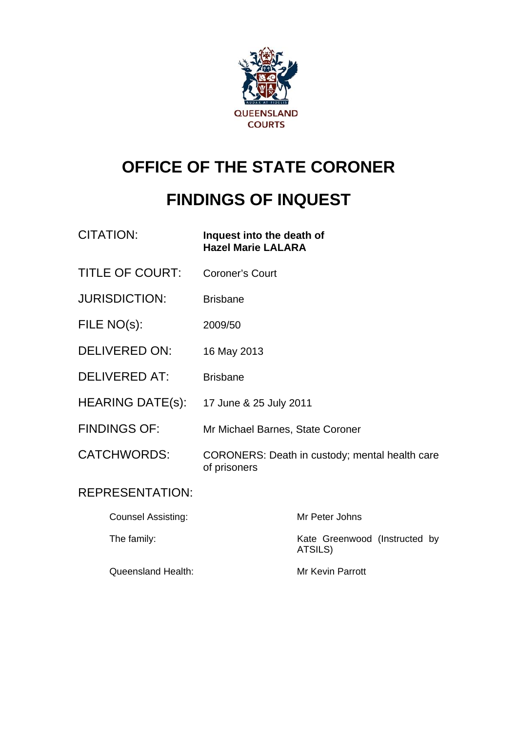

# **OFFICE OF THE STATE CORONER**

# **FINDINGS OF INQUEST**

| CITATION:               | Inquest into the death of<br><b>Hazel Marie LALARA</b>         |
|-------------------------|----------------------------------------------------------------|
| <b>TITLE OF COURT:</b>  | <b>Coroner's Court</b>                                         |
| <b>JURISDICTION:</b>    | <b>Brisbane</b>                                                |
| FILE NO(s):             | 2009/50                                                        |
| <b>DELIVERED ON:</b>    | 16 May 2013                                                    |
| <b>DELIVERED AT:</b>    | <b>Brisbane</b>                                                |
| <b>HEARING DATE(s):</b> | 17 June & 25 July 2011                                         |
| <b>FINDINGS OF:</b>     | Mr Michael Barnes, State Coroner                               |
| <b>CATCHWORDS:</b>      | CORONERS: Death in custody; mental health care<br>of prisoners |
| <b>REPRESENTATION:</b>  |                                                                |

| <b>Counsel Assisting:</b> | Mr Peter Johns                           |
|---------------------------|------------------------------------------|
| The family:               | Kate Greenwood (Instructed by<br>ATSILS) |
| <b>Queensland Health:</b> | Mr Kevin Parrott                         |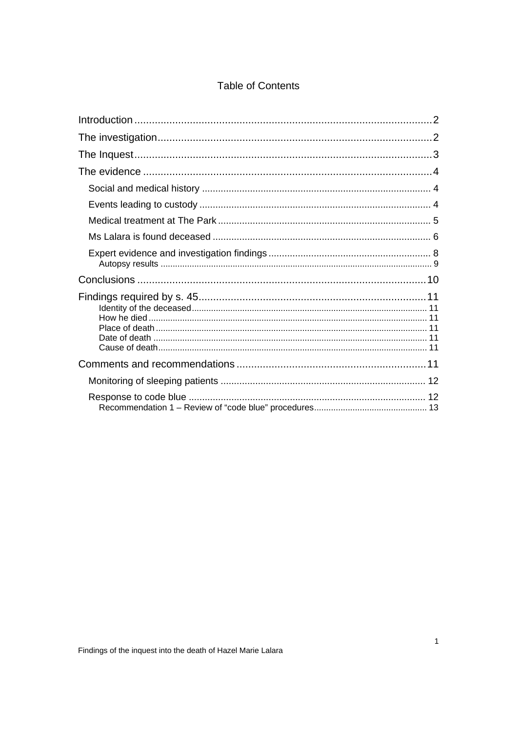### **Table of Contents**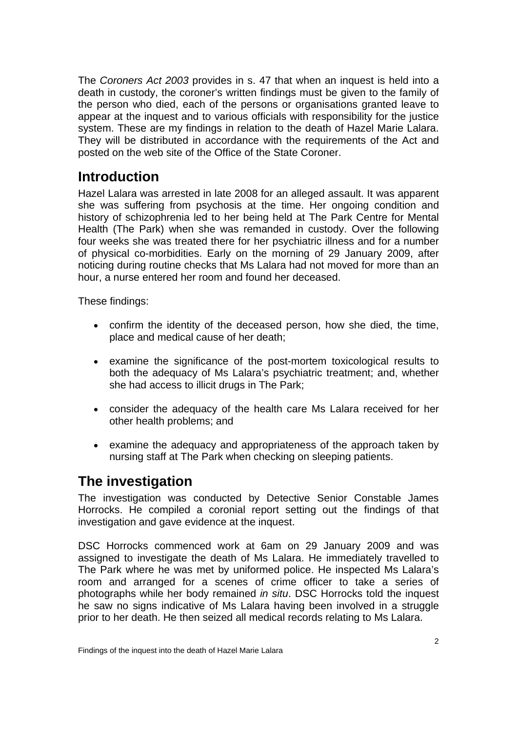<span id="page-2-0"></span>The *Coroners Act 2003* provides in s. 47 that when an inquest is held into a death in custody, the coroner's written findings must be given to the family of the person who died, each of the persons or organisations granted leave to appear at the inquest and to various officials with responsibility for the justice system. These are my findings in relation to the death of Hazel Marie Lalara. They will be distributed in accordance with the requirements of the Act and posted on the web site of the Office of the State Coroner.

## **Introduction**

Hazel Lalara was arrested in late 2008 for an alleged assault. It was apparent she was suffering from psychosis at the time. Her ongoing condition and history of schizophrenia led to her being held at The Park Centre for Mental Health (The Park) when she was remanded in custody. Over the following four weeks she was treated there for her psychiatric illness and for a number of physical co-morbidities. Early on the morning of 29 January 2009, after noticing during routine checks that Ms Lalara had not moved for more than an hour, a nurse entered her room and found her deceased.

These findings:

- confirm the identity of the deceased person, how she died, the time, place and medical cause of her death;
- examine the significance of the post-mortem toxicological results to both the adequacy of Ms Lalara's psychiatric treatment; and, whether she had access to illicit drugs in The Park;
- consider the adequacy of the health care Ms Lalara received for her other health problems; and
- examine the adequacy and appropriateness of the approach taken by nursing staff at The Park when checking on sleeping patients.

## **The investigation**

The investigation was conducted by Detective Senior Constable James Horrocks. He compiled a coronial report setting out the findings of that investigation and gave evidence at the inquest.

DSC Horrocks commenced work at 6am on 29 January 2009 and was assigned to investigate the death of Ms Lalara. He immediately travelled to The Park where he was met by uniformed police. He inspected Ms Lalara's room and arranged for a scenes of crime officer to take a series of photographs while her body remained *in situ*. DSC Horrocks told the inquest he saw no signs indicative of Ms Lalara having been involved in a struggle prior to her death. He then seized all medical records relating to Ms Lalara.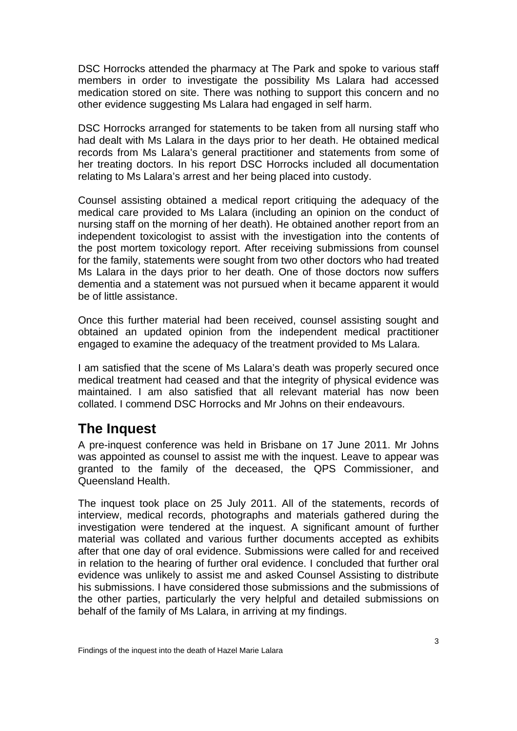<span id="page-3-0"></span>DSC Horrocks attended the pharmacy at The Park and spoke to various staff members in order to investigate the possibility Ms Lalara had accessed medication stored on site. There was nothing to support this concern and no other evidence suggesting Ms Lalara had engaged in self harm.

DSC Horrocks arranged for statements to be taken from all nursing staff who had dealt with Ms Lalara in the days prior to her death. He obtained medical records from Ms Lalara's general practitioner and statements from some of her treating doctors. In his report DSC Horrocks included all documentation relating to Ms Lalara's arrest and her being placed into custody.

Counsel assisting obtained a medical report critiquing the adequacy of the medical care provided to Ms Lalara (including an opinion on the conduct of nursing staff on the morning of her death). He obtained another report from an independent toxicologist to assist with the investigation into the contents of the post mortem toxicology report. After receiving submissions from counsel for the family, statements were sought from two other doctors who had treated Ms Lalara in the days prior to her death. One of those doctors now suffers dementia and a statement was not pursued when it became apparent it would be of little assistance.

Once this further material had been received, counsel assisting sought and obtained an updated opinion from the independent medical practitioner engaged to examine the adequacy of the treatment provided to Ms Lalara.

I am satisfied that the scene of Ms Lalara's death was properly secured once medical treatment had ceased and that the integrity of physical evidence was maintained. I am also satisfied that all relevant material has now been collated. I commend DSC Horrocks and Mr Johns on their endeavours.

## **The Inquest**

A pre-inquest conference was held in Brisbane on 17 June 2011. Mr Johns was appointed as counsel to assist me with the inquest. Leave to appear was granted to the family of the deceased, the QPS Commissioner, and Queensland Health.

The inquest took place on 25 July 2011. All of the statements, records of interview, medical records, photographs and materials gathered during the investigation were tendered at the inquest. A significant amount of further material was collated and various further documents accepted as exhibits after that one day of oral evidence. Submissions were called for and received in relation to the hearing of further oral evidence. I concluded that further oral evidence was unlikely to assist me and asked Counsel Assisting to distribute his submissions. I have considered those submissions and the submissions of the other parties, particularly the very helpful and detailed submissions on behalf of the family of Ms Lalara, in arriving at my findings.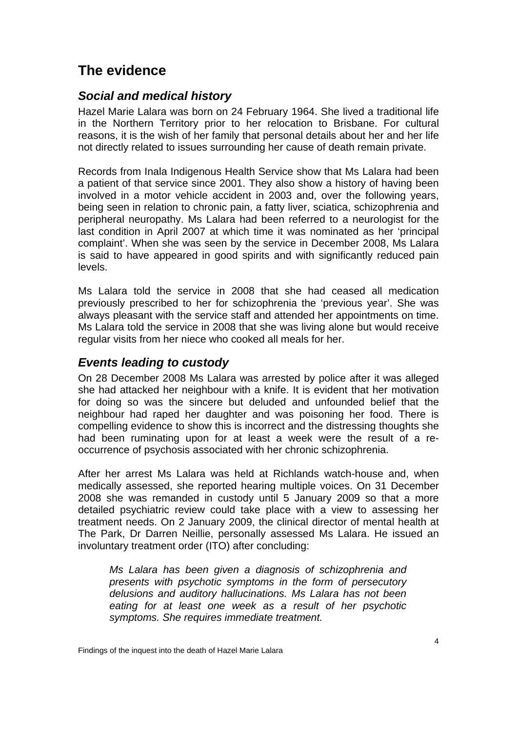## <span id="page-4-0"></span>**The evidence**

### *Social and medical history*

Hazel Marie Lalara was born on 24 February 1964. She lived a traditional life in the Northern Territory prior to her relocation to Brisbane. For cultural reasons, it is the wish of her family that personal details about her and her life not directly related to issues surrounding her cause of death remain private.

Records from Inala Indigenous Health Service show that Ms Lalara had been a patient of that service since 2001. They also show a history of having been involved in a motor vehicle accident in 2003 and, over the following years, being seen in relation to chronic pain, a fatty liver, sciatica, schizophrenia and peripheral neuropathy. Ms Lalara had been referred to a neurologist for the last condition in April 2007 at which time it was nominated as her 'principal complaint'. When she was seen by the service in December 2008, Ms Lalara is said to have appeared in good spirits and with significantly reduced pain levels.

Ms Lalara told the service in 2008 that she had ceased all medication previously prescribed to her for schizophrenia the 'previous year'. She was always pleasant with the service staff and attended her appointments on time. Ms Lalara told the service in 2008 that she was living alone but would receive regular visits from her niece who cooked all meals for her.

#### *Events leading to custody*

On 28 December 2008 Ms Lalara was arrested by police after it was alleged she had attacked her neighbour with a knife. It is evident that her motivation for doing so was the sincere but deluded and unfounded belief that the neighbour had raped her daughter and was poisoning her food. There is compelling evidence to show this is incorrect and the distressing thoughts she had been ruminating upon for at least a week were the result of a reoccurrence of psychosis associated with her chronic schizophrenia.

After her arrest Ms Lalara was held at Richlands watch-house and, when medically assessed, she reported hearing multiple voices. On 31 December 2008 she was remanded in custody until 5 January 2009 so that a more detailed psychiatric review could take place with a view to assessing her treatment needs. On 2 January 2009, the clinical director of mental health at The Park, Dr Darren Neillie, personally assessed Ms Lalara. He issued an involuntary treatment order (ITO) after concluding:

*Ms Lalara has been given a diagnosis of schizophrenia and presents with psychotic symptoms in the form of persecutory delusions and auditory hallucinations. Ms Lalara has not been eating for at least one week as a result of her psychotic symptoms. She requires immediate treatment.*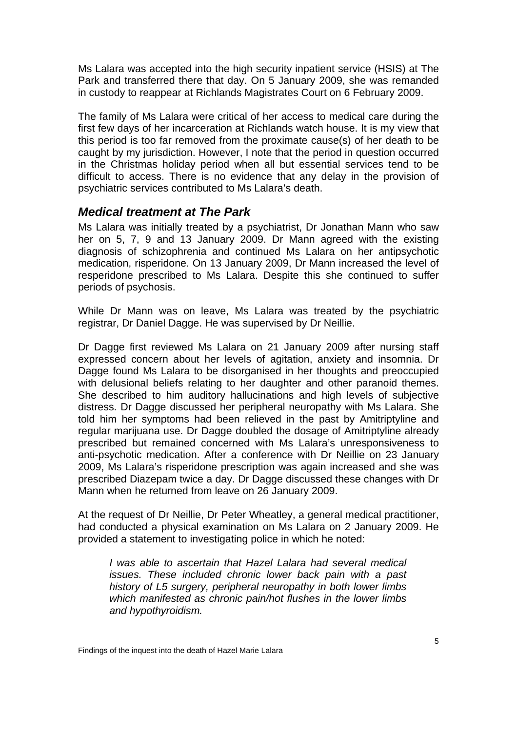<span id="page-5-0"></span>Ms Lalara was accepted into the high security inpatient service (HSIS) at The Park and transferred there that day. On 5 January 2009, she was remanded in custody to reappear at Richlands Magistrates Court on 6 February 2009.

The family of Ms Lalara were critical of her access to medical care during the first few days of her incarceration at Richlands watch house. It is my view that this period is too far removed from the proximate cause(s) of her death to be caught by my jurisdiction. However, I note that the period in question occurred in the Christmas holiday period when all but essential services tend to be difficult to access. There is no evidence that any delay in the provision of psychiatric services contributed to Ms Lalara's death.

#### *Medical treatment at The Park*

Ms Lalara was initially treated by a psychiatrist, Dr Jonathan Mann who saw her on 5, 7, 9 and 13 January 2009. Dr Mann agreed with the existing diagnosis of schizophrenia and continued Ms Lalara on her antipsychotic medication, risperidone. On 13 January 2009, Dr Mann increased the level of resperidone prescribed to Ms Lalara. Despite this she continued to suffer periods of psychosis.

While Dr Mann was on leave, Ms Lalara was treated by the psychiatric registrar, Dr Daniel Dagge. He was supervised by Dr Neillie.

Dr Dagge first reviewed Ms Lalara on 21 January 2009 after nursing staff expressed concern about her levels of agitation, anxiety and insomnia. Dr Dagge found Ms Lalara to be disorganised in her thoughts and preoccupied with delusional beliefs relating to her daughter and other paranoid themes. She described to him auditory hallucinations and high levels of subjective distress. Dr Dagge discussed her peripheral neuropathy with Ms Lalara. She told him her symptoms had been relieved in the past by Amitriptyline and regular marijuana use. Dr Dagge doubled the dosage of Amitriptyline already prescribed but remained concerned with Ms Lalara's unresponsiveness to anti-psychotic medication. After a conference with Dr Neillie on 23 January 2009, Ms Lalara's risperidone prescription was again increased and she was prescribed Diazepam twice a day. Dr Dagge discussed these changes with Dr Mann when he returned from leave on 26 January 2009.

At the request of Dr Neillie, Dr Peter Wheatley, a general medical practitioner, had conducted a physical examination on Ms Lalara on 2 January 2009. He provided a statement to investigating police in which he noted:

*I was able to ascertain that Hazel Lalara had several medical issues. These included chronic lower back pain with a past history of L5 surgery, peripheral neuropathy in both lower limbs which manifested as chronic pain/hot flushes in the lower limbs and hypothyroidism.*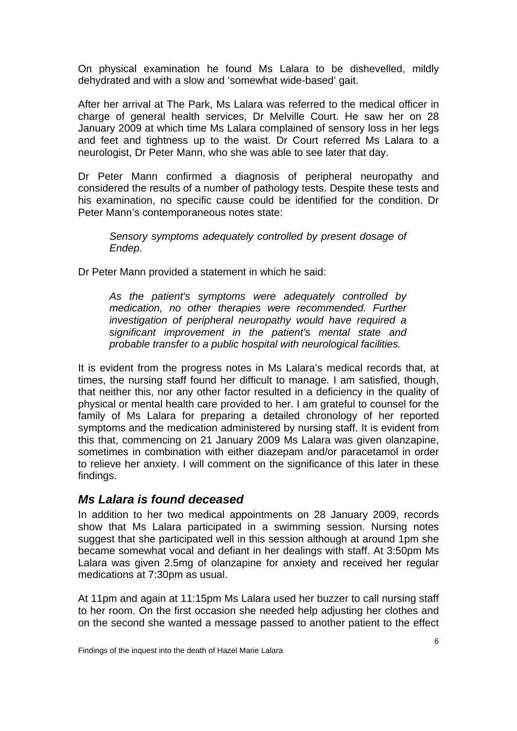<span id="page-6-0"></span>On physical examination he found Ms Lalara to be dishevelled, mildly dehydrated and with a slow and 'somewhat wide-based' gait.

After her arrival at The Park, Ms Lalara was referred to the medical officer in charge of general health services, Dr Melville Court. He saw her on 28 January 2009 at which time Ms Lalara complained of sensory loss in her legs and feet and tightness up to the waist. Dr Court referred Ms Lalara to a neurologist, Dr Peter Mann, who she was able to see later that day.

Dr Peter Mann confirmed a diagnosis of peripheral neuropathy and considered the results of a number of pathology tests. Despite these tests and his examination, no specific cause could be identified for the condition. Dr Peter Mann's contemporaneous notes state:

*Sensory symptoms adequately controlled by present dosage of Endep.* 

Dr Peter Mann provided a statement in which he said:

*As the patient's symptoms were adequately controlled by medication, no other therapies were recommended. Further investigation of peripheral neuropathy would have required a significant improvement in the patient's mental state and probable transfer to a public hospital with neurological facilities.* 

It is evident from the progress notes in Ms Lalara's medical records that, at times, the nursing staff found her difficult to manage. I am satisfied, though, that neither this, nor any other factor resulted in a deficiency in the quality of physical or mental health care provided to her. I am grateful to counsel for the family of Ms Lalara for preparing a detailed chronology of her reported symptoms and the medication administered by nursing staff. It is evident from this that, commencing on 21 January 2009 Ms Lalara was given olanzapine, sometimes in combination with either diazepam and/or paracetamol in order to relieve her anxiety. I will comment on the significance of this later in these findings.

#### *Ms Lalara is found deceased*

In addition to her two medical appointments on 28 January 2009, records show that Ms Lalara participated in a swimming session. Nursing notes suggest that she participated well in this session although at around 1pm she became somewhat vocal and defiant in her dealings with staff. At 3:50pm Ms Lalara was given 2.5mg of olanzapine for anxiety and received her regular medications at 7:30pm as usual.

At 11pm and again at 11:15pm Ms Lalara used her buzzer to call nursing staff to her room. On the first occasion she needed help adjusting her clothes and on the second she wanted a message passed to another patient to the effect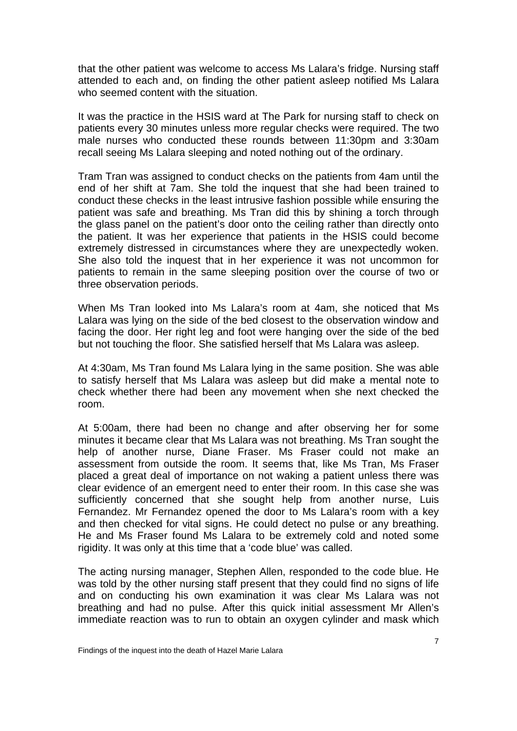that the other patient was welcome to access Ms Lalara's fridge. Nursing staff attended to each and, on finding the other patient asleep notified Ms Lalara who seemed content with the situation.

It was the practice in the HSIS ward at The Park for nursing staff to check on patients every 30 minutes unless more regular checks were required. The two male nurses who conducted these rounds between 11:30pm and 3:30am recall seeing Ms Lalara sleeping and noted nothing out of the ordinary.

Tram Tran was assigned to conduct checks on the patients from 4am until the end of her shift at 7am. She told the inquest that she had been trained to conduct these checks in the least intrusive fashion possible while ensuring the patient was safe and breathing. Ms Tran did this by shining a torch through the glass panel on the patient's door onto the ceiling rather than directly onto the patient. It was her experience that patients in the HSIS could become extremely distressed in circumstances where they are unexpectedly woken. She also told the inquest that in her experience it was not uncommon for patients to remain in the same sleeping position over the course of two or three observation periods.

When Ms Tran looked into Ms Lalara's room at 4am, she noticed that Ms Lalara was lying on the side of the bed closest to the observation window and facing the door. Her right leg and foot were hanging over the side of the bed but not touching the floor. She satisfied herself that Ms Lalara was asleep.

At 4:30am, Ms Tran found Ms Lalara lying in the same position. She was able to satisfy herself that Ms Lalara was asleep but did make a mental note to check whether there had been any movement when she next checked the room.

At 5:00am, there had been no change and after observing her for some minutes it became clear that Ms Lalara was not breathing. Ms Tran sought the help of another nurse, Diane Fraser. Ms Fraser could not make an assessment from outside the room. It seems that, like Ms Tran, Ms Fraser placed a great deal of importance on not waking a patient unless there was clear evidence of an emergent need to enter their room. In this case she was sufficiently concerned that she sought help from another nurse, Luis Fernandez. Mr Fernandez opened the door to Ms Lalara's room with a key and then checked for vital signs. He could detect no pulse or any breathing. He and Ms Fraser found Ms Lalara to be extremely cold and noted some rigidity. It was only at this time that a 'code blue' was called.

The acting nursing manager, Stephen Allen, responded to the code blue. He was told by the other nursing staff present that they could find no signs of life and on conducting his own examination it was clear Ms Lalara was not breathing and had no pulse. After this quick initial assessment Mr Allen's immediate reaction was to run to obtain an oxygen cylinder and mask which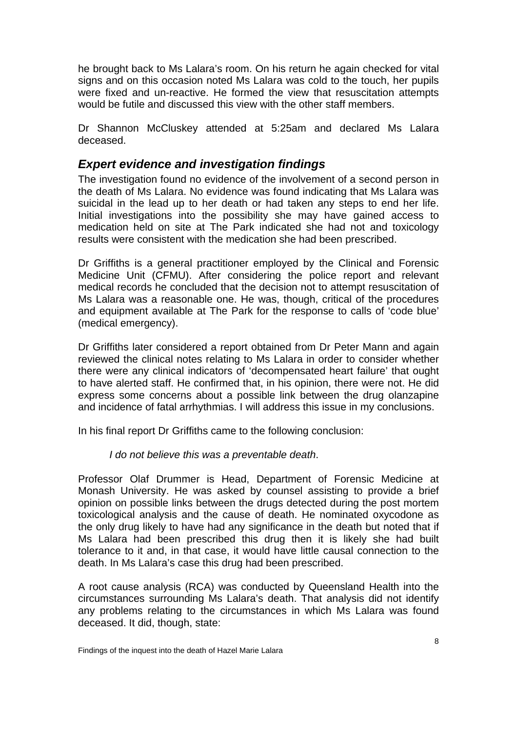<span id="page-8-0"></span>he brought back to Ms Lalara's room. On his return he again checked for vital signs and on this occasion noted Ms Lalara was cold to the touch, her pupils were fixed and un-reactive. He formed the view that resuscitation attempts would be futile and discussed this view with the other staff members.

Dr Shannon McCluskey attended at 5:25am and declared Ms Lalara deceased.

#### *Expert evidence and investigation findings*

The investigation found no evidence of the involvement of a second person in the death of Ms Lalara. No evidence was found indicating that Ms Lalara was suicidal in the lead up to her death or had taken any steps to end her life. Initial investigations into the possibility she may have gained access to medication held on site at The Park indicated she had not and toxicology results were consistent with the medication she had been prescribed.

Dr Griffiths is a general practitioner employed by the Clinical and Forensic Medicine Unit (CFMU). After considering the police report and relevant medical records he concluded that the decision not to attempt resuscitation of Ms Lalara was a reasonable one. He was, though, critical of the procedures and equipment available at The Park for the response to calls of 'code blue' (medical emergency).

Dr Griffiths later considered a report obtained from Dr Peter Mann and again reviewed the clinical notes relating to Ms Lalara in order to consider whether there were any clinical indicators of 'decompensated heart failure' that ought to have alerted staff. He confirmed that, in his opinion, there were not. He did express some concerns about a possible link between the drug olanzapine and incidence of fatal arrhythmias. I will address this issue in my conclusions.

In his final report Dr Griffiths came to the following conclusion:

#### *I do not believe this was a preventable death*.

Professor Olaf Drummer is Head, Department of Forensic Medicine at Monash University. He was asked by counsel assisting to provide a brief opinion on possible links between the drugs detected during the post mortem toxicological analysis and the cause of death. He nominated oxycodone as the only drug likely to have had any significance in the death but noted that if Ms Lalara had been prescribed this drug then it is likely she had built tolerance to it and, in that case, it would have little causal connection to the death. In Ms Lalara's case this drug had been prescribed.

A root cause analysis (RCA) was conducted by Queensland Health into the circumstances surrounding Ms Lalara's death. That analysis did not identify any problems relating to the circumstances in which Ms Lalara was found deceased. It did, though, state: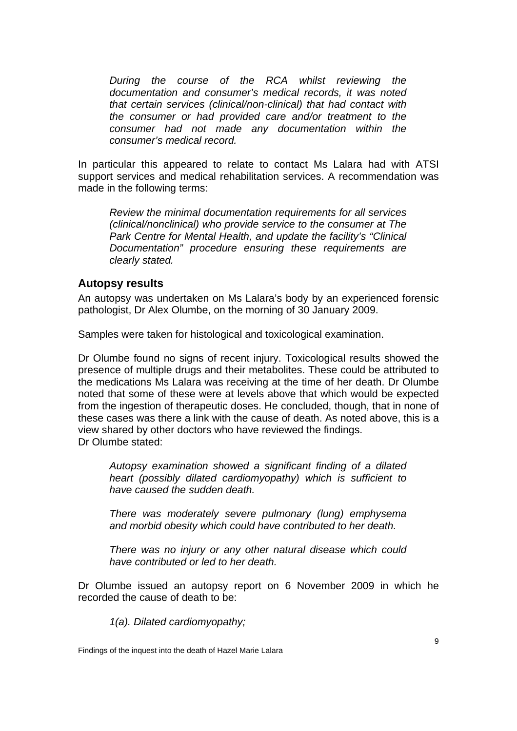<span id="page-9-0"></span>*During the course of the RCA whilst reviewing the documentation and consumer's medical records, it was noted that certain services (clinical/non-clinical) that had contact with the consumer or had provided care and/or treatment to the consumer had not made any documentation within the consumer's medical record.*

In particular this appeared to relate to contact Ms Lalara had with ATSI support services and medical rehabilitation services. A recommendation was made in the following terms:

*Review the minimal documentation requirements for all services (clinical/nonclinical) who provide service to the consumer at The Park Centre for Mental Health, and update the facility's "Clinical Documentation" procedure ensuring these requirements are clearly stated.* 

#### **Autopsy results**

An autopsy was undertaken on Ms Lalara's body by an experienced forensic pathologist, Dr Alex Olumbe, on the morning of 30 January 2009.

Samples were taken for histological and toxicological examination.

Dr Olumbe found no signs of recent injury. Toxicological results showed the presence of multiple drugs and their metabolites. These could be attributed to the medications Ms Lalara was receiving at the time of her death. Dr Olumbe noted that some of these were at levels above that which would be expected from the ingestion of therapeutic doses. He concluded, though, that in none of these cases was there a link with the cause of death. As noted above, this is a view shared by other doctors who have reviewed the findings. Dr Olumbe stated:

*Autopsy examination showed a significant finding of a dilated heart (possibly dilated cardiomyopathy) which is sufficient to have caused the sudden death.* 

*There was moderately severe pulmonary (lung) emphysema and morbid obesity which could have contributed to her death.* 

*There was no injury or any other natural disease which could have contributed or led to her death.* 

Dr Olumbe issued an autopsy report on 6 November 2009 in which he recorded the cause of death to be:

*1(a). Dilated cardiomyopathy;* 

Findings of the inquest into the death of Hazel Marie Lalara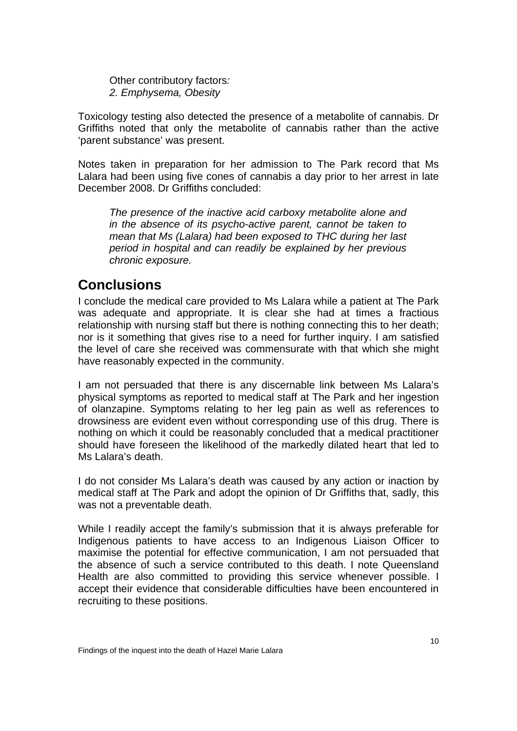<span id="page-10-0"></span>Other contributory factors*: 2. Emphysema, Obesity* 

Toxicology testing also detected the presence of a metabolite of cannabis. Dr Griffiths noted that only the metabolite of cannabis rather than the active 'parent substance' was present.

Notes taken in preparation for her admission to The Park record that Ms Lalara had been using five cones of cannabis a day prior to her arrest in late December 2008. Dr Griffiths concluded:

*The presence of the inactive acid carboxy metabolite alone and in the absence of its psycho-active parent, cannot be taken to mean that Ms (Lalara) had been exposed to THC during her last period in hospital and can readily be explained by her previous chronic exposure.* 

## **Conclusions**

I conclude the medical care provided to Ms Lalara while a patient at The Park was adequate and appropriate. It is clear she had at times a fractious relationship with nursing staff but there is nothing connecting this to her death; nor is it something that gives rise to a need for further inquiry. I am satisfied the level of care she received was commensurate with that which she might have reasonably expected in the community.

I am not persuaded that there is any discernable link between Ms Lalara's physical symptoms as reported to medical staff at The Park and her ingestion of olanzapine. Symptoms relating to her leg pain as well as references to drowsiness are evident even without corresponding use of this drug. There is nothing on which it could be reasonably concluded that a medical practitioner should have foreseen the likelihood of the markedly dilated heart that led to Ms Lalara's death.

I do not consider Ms Lalara's death was caused by any action or inaction by medical staff at The Park and adopt the opinion of Dr Griffiths that, sadly, this was not a preventable death.

While I readily accept the family's submission that it is always preferable for Indigenous patients to have access to an Indigenous Liaison Officer to maximise the potential for effective communication, I am not persuaded that the absence of such a service contributed to this death. I note Queensland Health are also committed to providing this service whenever possible. I accept their evidence that considerable difficulties have been encountered in recruiting to these positions.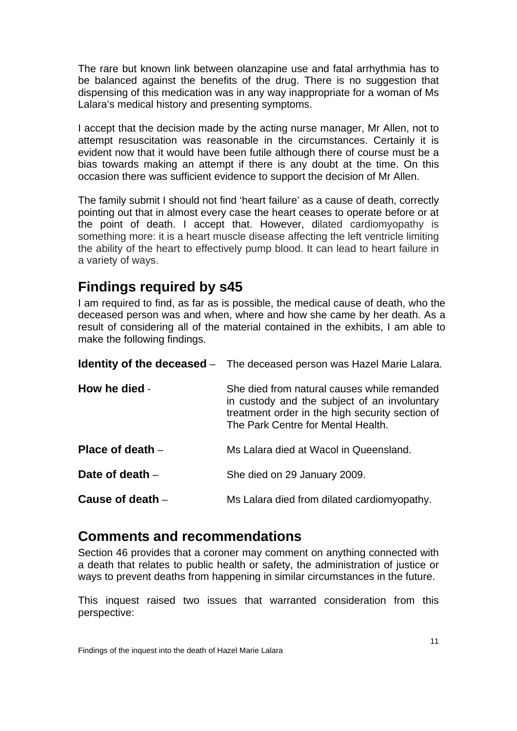<span id="page-11-0"></span>The rare but known link between olanzapine use and fatal arrhythmia has to be balanced against the benefits of the drug. There is no suggestion that dispensing of this medication was in any way inappropriate for a woman of Ms Lalara's medical history and presenting symptoms.

I accept that the decision made by the acting nurse manager, Mr Allen, not to attempt resuscitation was reasonable in the circumstances. Certainly it is evident now that it would have been futile although there of course must be a bias towards making an attempt if there is any doubt at the time. On this occasion there was sufficient evidence to support the decision of Mr Allen.

The family submit I should not find 'heart failure' as a cause of death, correctly pointing out that in almost every case the heart ceases to operate before or at the point of death. I accept that. However, dilated cardiomyopathy is something more: it is a heart muscle disease affecting the left ventricle limiting the ability of the heart to effectively pump blood. It can lead to heart failure in a variety of ways.

## **Findings required by s45**

I am required to find, as far as is possible, the medical cause of death, who the deceased person was and when, where and how she came by her death. As a result of considering all of the material contained in the exhibits, I am able to make the following findings.

|                    | <b>Identity of the deceased</b> - The deceased person was Hazel Marie Lalara.                                                                                                        |
|--------------------|--------------------------------------------------------------------------------------------------------------------------------------------------------------------------------------|
| How he died -      | She died from natural causes while remanded<br>in custody and the subject of an involuntary<br>treatment order in the high security section of<br>The Park Centre for Mental Health. |
| Place of death $-$ | Ms Lalara died at Wacol in Queensland.                                                                                                                                               |
| Date of death $-$  | She died on 29 January 2009.                                                                                                                                                         |
| Cause of death $-$ | Ms Lalara died from dilated cardiomyopathy.                                                                                                                                          |

## **Comments and recommendations**

Section 46 provides that a coroner may comment on anything connected with a death that relates to public health or safety, the administration of justice or ways to prevent deaths from happening in similar circumstances in the future.

This inquest raised two issues that warranted consideration from this perspective: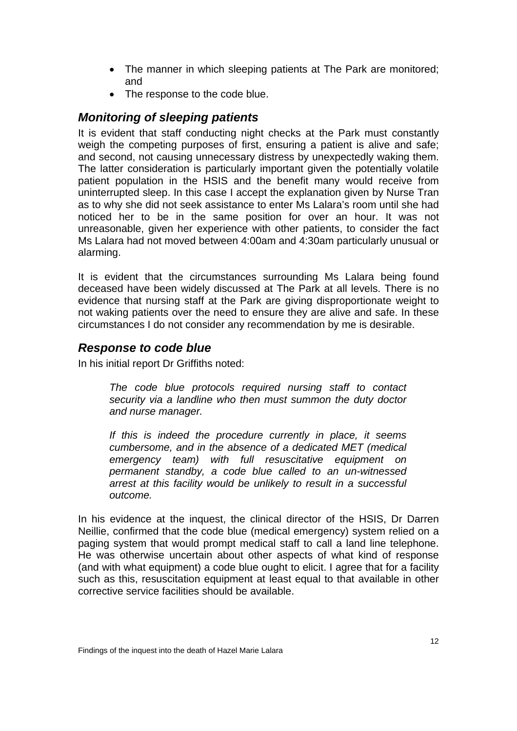- <span id="page-12-0"></span>• The manner in which sleeping patients at The Park are monitored; and
- The response to the code blue.

### *Monitoring of sleeping patients*

It is evident that staff conducting night checks at the Park must constantly weigh the competing purposes of first, ensuring a patient is alive and safe; and second, not causing unnecessary distress by unexpectedly waking them. The latter consideration is particularly important given the potentially volatile patient population in the HSIS and the benefit many would receive from uninterrupted sleep. In this case I accept the explanation given by Nurse Tran as to why she did not seek assistance to enter Ms Lalara's room until she had noticed her to be in the same position for over an hour. It was not unreasonable, given her experience with other patients, to consider the fact Ms Lalara had not moved between 4:00am and 4:30am particularly unusual or alarming.

It is evident that the circumstances surrounding Ms Lalara being found deceased have been widely discussed at The Park at all levels. There is no evidence that nursing staff at the Park are giving disproportionate weight to not waking patients over the need to ensure they are alive and safe. In these circumstances I do not consider any recommendation by me is desirable.

#### *Response to code blue*

In his initial report Dr Griffiths noted:

*The code blue protocols required nursing staff to contact security via a landline who then must summon the duty doctor and nurse manager.* 

*If this is indeed the procedure currently in place, it seems cumbersome, and in the absence of a dedicated MET (medical emergency team) with full resuscitative equipment on permanent standby, a code blue called to an un-witnessed arrest at this facility would be unlikely to result in a successful outcome.* 

In his evidence at the inquest, the clinical director of the HSIS, Dr Darren Neillie, confirmed that the code blue (medical emergency) system relied on a paging system that would prompt medical staff to call a land line telephone. He was otherwise uncertain about other aspects of what kind of response (and with what equipment) a code blue ought to elicit. I agree that for a facility such as this, resuscitation equipment at least equal to that available in other corrective service facilities should be available.